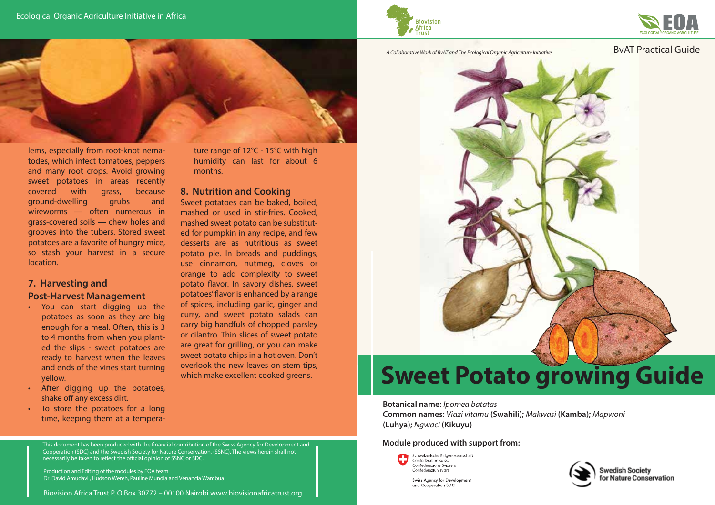



#### A Collaborative Work of BvAT and The Ecological Organic Agriculture Initiative **BVAT Practical Guide**



lems, especially from root-knot nematodes, which infect tomatoes, peppers and many root crops. Avoid growing sweet potatoes in areas recently covered with grass, because ground-dwelling grubs and wireworms — often numerous in grass-covered soils — chew holes and grooves into the tubers. Stored sweet potatoes are a favorite of hungry mice, so stash your harvest in a secure location.

#### **7. Harvesting and Post-Harvest Management**

- You can start digging up the potatoes as soon as they are big enough for a meal. Often, this is 3 to 4 months from when you planted the slips - sweet potatoes are ready to harvest when the leaves and ends of the vines start turning yellow.
- After digging up the potatoes, shake off any excess dirt.
- To store the potatoes for a long time, keeping them at a tempera-

ture range of 12°C - 15°C with high humidity can last for about 6 months.

#### **8. Nutrition and Cooking**

Sweet potatoes can be baked, boiled, mashed or used in stir-fries. Cooked, mashed sweet potato can be substituted for pumpkin in any recipe, and few desserts are as nutritious as sweet potato pie. In breads and puddings, use cinnamon, nutmeg, cloves or orange to add complexity to sweet potato flavor. In savory dishes, sweet potatoes' flavor is enhanced by a range of spices, including garlic, ginger and curry, and sweet potato salads can carry big handfuls of chopped parsley or cilantro. Thin slices of sweet potato are great for grilling, or you can make sweet potato chips in a hot oven. Don't overlook the new leaves on stem tips, which make excellent cooked greens.



# **Sweet Potato growing Guide**

**Botanical name:** *Ipomea batatas* **Common names:** *Viazi vitamu* **(Swahili);** *Makwasi* **(Kamba);** *Mapwoni* **(Luhya);** *Ngwaci* **(Kikuyu)**

#### **Module produced with support from:**



Swiss Agency for Development and Cooperation SDC





Biovision Africa Trust P. O Box 30772 – 00100 Nairobi www.biovisionafricatrust.org

This document has been produced with the financial contribution of the Swiss Agency for Development and